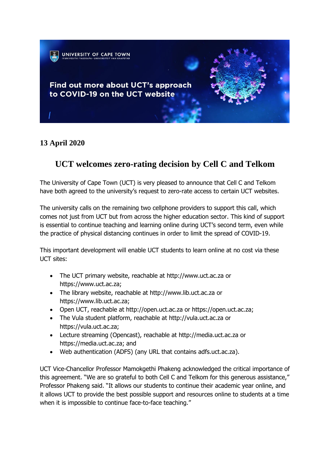

## **13 April 2020**

## **UCT welcomes zero-rating decision by Cell C and Telkom**

The University of Cape Town (UCT) is very pleased to announce that Cell C and Telkom have both agreed to the university's request to zero-rate access to certain UCT websites.

The university calls on the remaining two cellphone providers to support this call, which comes not just from UCT but from across the higher education sector. This kind of support is essential to continue teaching and learning online during UCT's second term, even while the practice of physical distancing continues in order to limit the spread of COVID-19.

This important development will enable UCT students to learn online at no cost via these UCT sites:

- The UCT primary website, reachable at http://www.uct.ac.za or https://www.uct.ac.za;
- The library website, reachable at [http://www.lib.uct.ac.za](http://www.lib.uct.ac.za/) or https://www.lib.uct.ac.za;
- Open UCT, reachable at http://open.uct.ac.za or https://open.uct.ac.za;
- The Vula student platform, reachable at http://vula.uct.ac.za or https://vula.uct.ac.za;
- Lecture streaming (Opencast), reachable at http://media.uct.ac.za or [https://media.uct.ac.za;](https://media.uct.ac.za/) and
- Web authentication (ADFS) (any URL that contains adfs.uct.ac.za).

UCT Vice-Chancellor Professor Mamokgethi Phakeng acknowledged the critical importance of this agreement. "We are so grateful to both Cell C and Telkom for this generous assistance," Professor Phakeng said. "It allows our students to continue their academic year online, and it allows UCT to provide the best possible support and resources online to students at a time when it is impossible to continue face-to-face teaching."